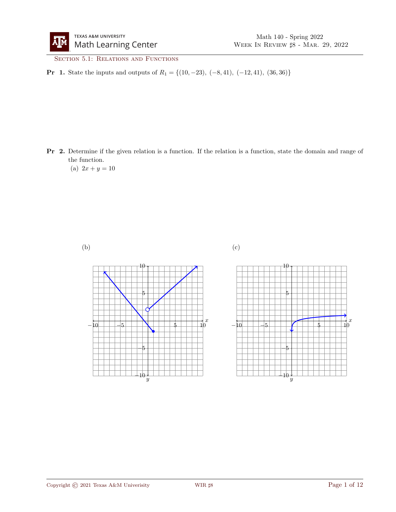SECTION 5.1: RELATIONS AND FUNCTIONS

**Pr 1.** State the inputs and outputs of  $R_1 = \{(10, -23), (-8, 41), (-12, 41), (36, 36)\}\$ 

Pr 2. Determine if the given relation is a function. If the relation is a function, state the domain and range of the function.

(a)  $2x + y = 10$ 

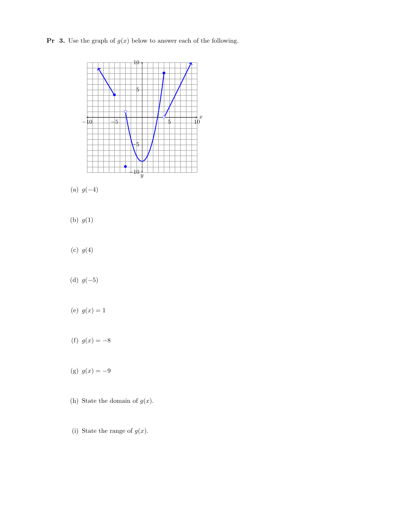**Pr** 3. Use the graph of  $g(x)$  below to answer each of the following.



- (a)  $g(-4)$
- (b)  $g(1)$
- (c)  $g(4)$
- (d)  $g(-5)$
- (e)  $g(x) = 1$
- (f)  $g(x) = -8$
- (g)  $g(x) = -9$
- (h) State the domain of  $g(x)$ .
- (i) State the range of  $g(x)$ .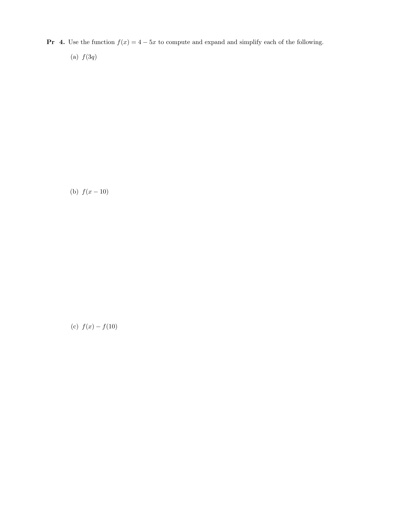- **Pr** 4. Use the function  $f(x) = 4 5x$  to compute and expand and simplify each of the following.
	- (a)  $f(3q)$

(b)  $f(x - 10)$ 

(c)  $f(x) - f(10)$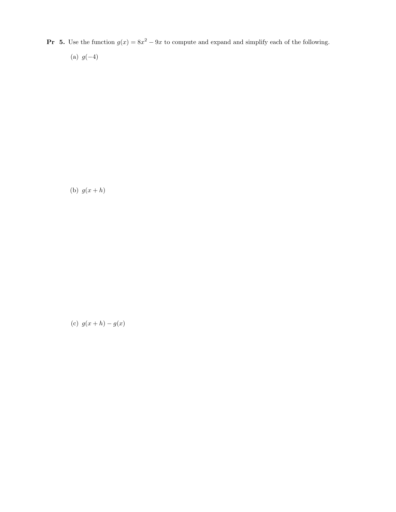**Pr 5.** Use the function  $g(x) = 8x^2 - 9x$  to compute and expand and simplify each of the following.

(a)  $g(-4)$ 

(b)  $g(x+h)$ 

(c)  $g(x+h) - g(x)$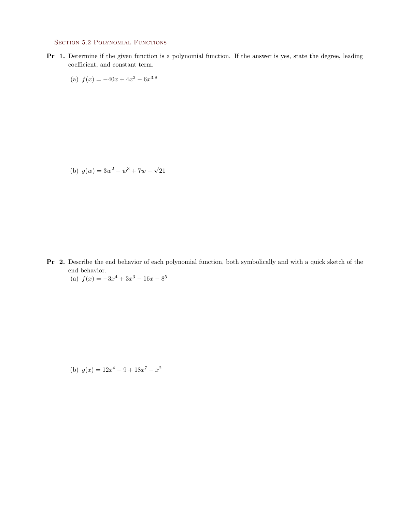## SECTION 5.2 POLYNOMIAL FUNCTIONS

- Pr 1. Determine if the given function is a polynomial function. If the answer is yes, state the degree, leading coefficient, and constant term.
	- (a)  $f(x) = -40x + 4x^3 6x^{3.8}$

(b)  $g(w) = 3w^2 - w^3 + 7w - \sqrt{ }$ 21

- Pr 2. Describe the end behavior of each polynomial function, both symbolically and with a quick sketch of the end behavior.
	- (a)  $f(x) = -3x^4 + 3x^3 16x 8^5$

(b) 
$$
g(x) = 12x^4 - 9 + 18x^7 - x^2
$$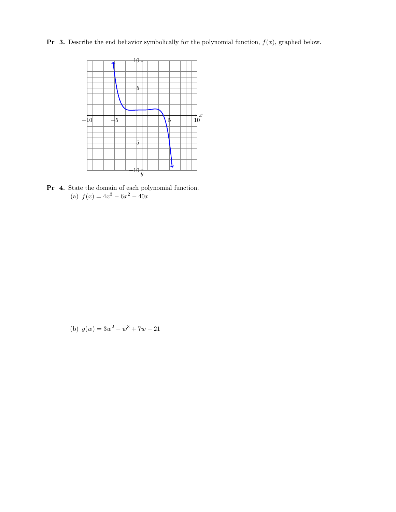**Pr** 3. Describe the end behavior symbolically for the polynomial function,  $f(x)$ , graphed below.



Pr 4. State the domain of each polynomial function. (a)  $f(x) = 4x^3 - 6x^2 - 40x$ 

(b) 
$$
g(w) = 3w^2 - w^3 + 7w - 21
$$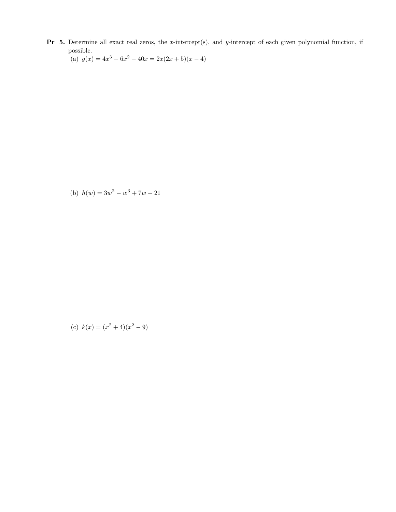**Pr** 5. Determine all exact real zeros, the x-intercept(s), and y-intercept of each given polynomial function, if possible.

(a)  $g(x) = 4x^3 - 6x^2 - 40x = 2x(2x+5)(x-4)$ 

(b)  $h(w) = 3w^2 - w^3 + 7w - 21$ 

(c) 
$$
k(x) = (x^2 + 4)(x^2 - 9)
$$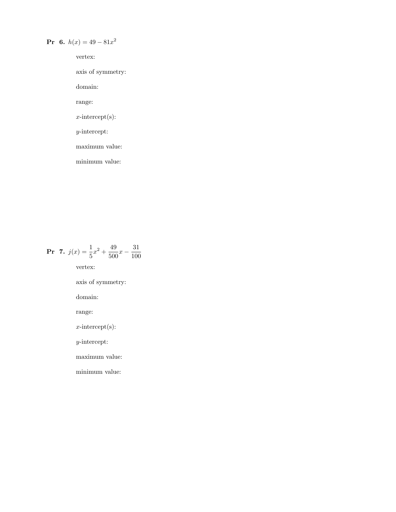## **Pr** 6.  $h(x) = 49 - 81x^2$

vertex:

axis of symmetry:

domain:

range:

 $x$ -intercept(s):

y-intercept:

maximum value:

minimum value:

**Pr** 7. 
$$
j(x) = \frac{1}{5}x^2 + \frac{49}{500}x - \frac{31}{100}
$$

vertex:

axis of symmetry:

domain:

range:

x-intercept(s):

y-intercept:

maximum value:

minimum value: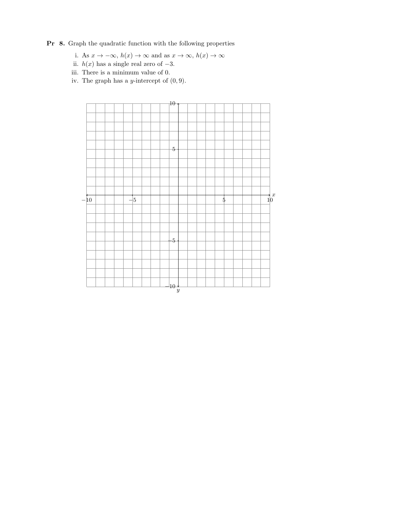## Pr 8. Graph the quadratic function with the following properties

- i. As  $x \to -\infty$ ,  $h(x) \to \infty$  and as  $x \to \infty$ ,  $h(x) \to \infty$
- ii.  $h(x)$  has a single real zero of  $-3$ .
- iii. There is a minimum value of 0.
- iv. The graph has a *y*-intercept of  $(0, 9)$ .

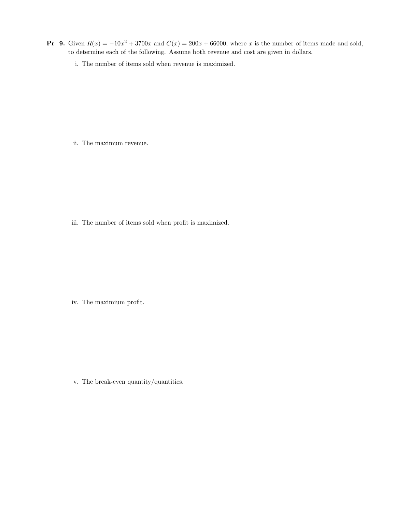- **Pr** 9. Given  $R(x) = -10x^2 + 3700x$  and  $C(x) = 200x + 66000$ , where x is the number of items made and sold, to determine each of the following. Assume both revenue and cost are given in dollars.
	- i. The number of items sold when revenue is maximized.

ii. The maximum revenue.

iii. The number of items sold when profit is maximized.

iv. The maximium profit.

v. The break-even quantity/quantities.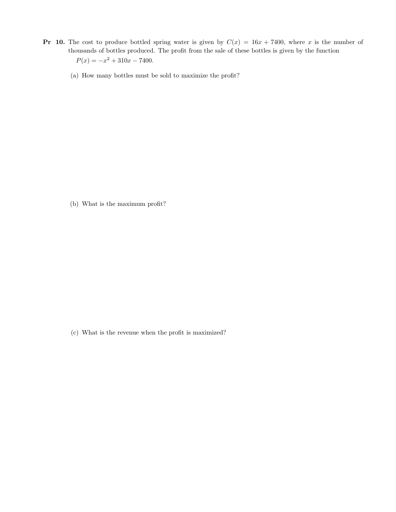- **Pr 10.** The cost to produce bottled spring water is given by  $C(x) = 16x + 7400$ , where x is the number of thousands of bottles produced. The profit from the sale of these bottles is given by the function  $P(x) = -x^2 + 310x - 7400.$ 
	- (a) How many bottles must be sold to maximize the profit?

(b) What is the maximum profit?

(c) What is the revenue when the profit is maximized?